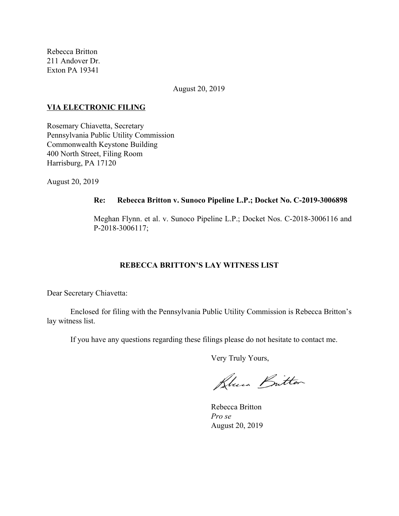Rebecca Britton 211 Andover Dr. Exton PA 19341

August 20, 2019

#### **VIA ELECTRONIC FILING**

Rosemary Chiavetta, Secretary Pennsylvania Public Utility Commission Commonwealth Keystone Building 400 North Street, Filing Room Harrisburg, PA 17120

August 20, 2019

#### **Re: Rebecca Britton v. Sunoco Pipeline L.P.; Docket No. C-2019-3006898**

Meghan Flynn. et al. v. Sunoco Pipeline L.P.; Docket Nos. C-2018-3006116 and P-2018-3006117;

# **REBECCA BRITTON'S LAY WITNESS LIST**

Dear Secretary Chiavetta:

Enclosed for filing with the Pennsylvania Public Utility Commission is Rebecca Britton's lay witness list.

If you have any questions regarding these filings please do not hesitate to contact me.

Very Truly Yours,

Blues Britton

Rebecca Britton *Pro se* August 20, 2019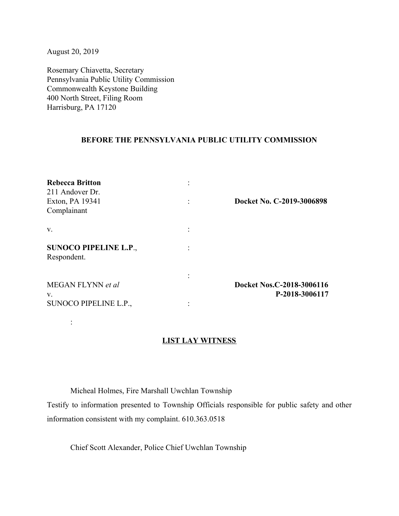August 20, 2019

:

Rosemary Chiavetta, Secretary Pennsylvania Public Utility Commission Commonwealth Keystone Building 400 North Street, Filing Room Harrisburg, PA 17120

## **BEFORE THE PENNSYLVANIA PUBLIC UTILITY COMMISSION**

| <b>Rebecca Britton</b><br>211 Andover Dr.<br>Exton, PA 19341<br>Complainant | Docket No. C-2019-3006898                   |
|-----------------------------------------------------------------------------|---------------------------------------------|
| V.                                                                          |                                             |
| <b>SUNOCO PIPELINE L.P.,</b><br>Respondent.                                 |                                             |
| MEGAN FLYNN et al<br>V.                                                     | Docket Nos.C-2018-3006116<br>P-2018-3006117 |
| SUNOCO PIPELINE L.P.,                                                       |                                             |

## **LIST LAY WITNESS**

Micheal Holmes, Fire Marshall Uwchlan Township

Testify to information presented to Township Officials responsible for public safety and other information consistent with my complaint. 610.363.0518

Chief Scott Alexander, Police Chief Uwchlan Township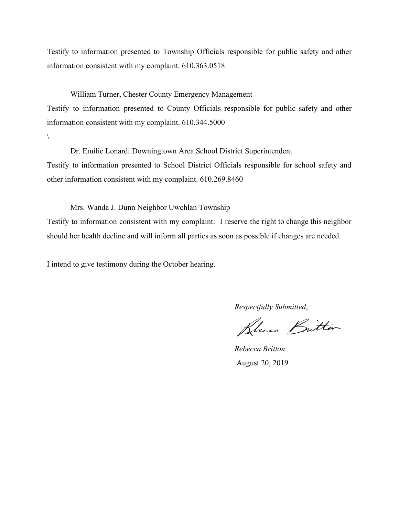Testify to information presented to Township Officials responsible for public safety and other information consistent with my complaint. 610.363.0518

William Turner, Chester County Emergency Management

Testify to information presented to County Officials responsible for public safety and other information consistent with my complaint. 610.344.5000

 $\setminus$ 

Dr. Emilie Lonardi Downingtown Area School District Superintendent Testify to information presented to School District Officials responsible for school safety and other information consistent with my complaint. 610.269.8460

Mrs. Wanda J. Dunn Neighbor Uwchlan Township Testify to information consistent with my complaint. I reserve the right to change this neighbor should her health decline and will inform all parties as soon as possible if changes are needed.

I intend to give testimony during the October hearing.

*Respectfully Submitted*,

Plus Britton

*Rebecca Britton* August 20, 2019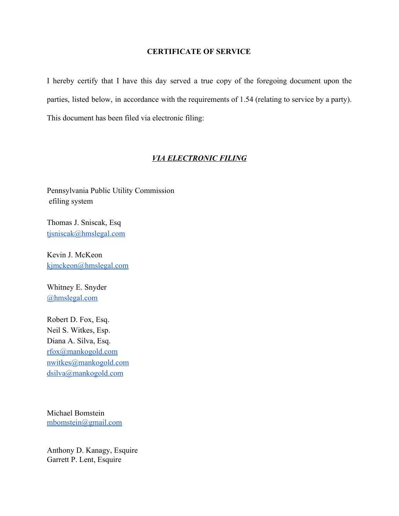# **CERTIFICATE OF SERVICE**

I hereby certify that I have this day served a true copy of the foregoing document upon the parties, listed below, in accordance with the requirements of 1.54 (relating to service by a party). This document has been filed via electronic filing:

## *VIA ELECTRONIC FILING*

Pennsylvania Public Utility Commission efiling system

Thomas J. Sniscak, Esq [tjsniscak@hmslegal.com](mailto:tjsniscak@hmslegal.com)

Kevin J. McKeon [kjmckeon@hmslegal.com](mailto:kjmckeon@hmslegal.com)

Whitney E. Snyder [@hmslegal.com](mailto:wesnyder@hmslegal.com)

Robert D. Fox, Esq. Neil S. Witkes, Esp. Diana A. Silva, Esq. [rfox@mankogold.com](mailto:rfox@mankogold.com) [nwitkes@mankogold.com](mailto:nwitkes@mankogold.com) [dsilva@mankogold.com](mailto:dsilva@mankogold.com)

Michael Bomstein [mbomstein@gmail.com](mailto:mbomstein@gmail.com)

Anthony D. Kanagy, Esquire Garrett P. Lent, Esquire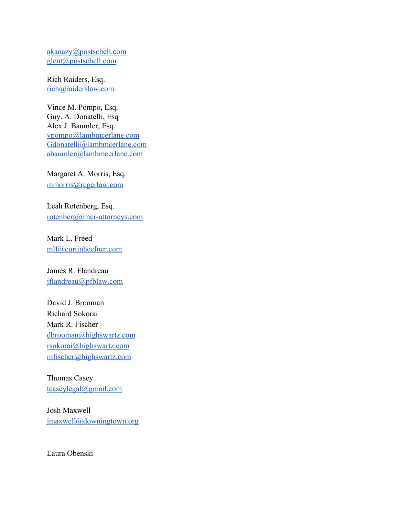[akanazy@postschell.com](mailto:akanazy@postschell.com) [glent@postschell.com](mailto:glent@postschell.com)

Rich Raiders, Esq. [rich@raiderslaw.com](mailto:rich@raiderslaw.com)

Vince M. Pompo, Esq. Guy. A. Donatelli, Esq Alex J. Baumler, Esq. [vpompo@lambmcerlane.com](mailto:vpompo@lambmcerlane.com) [Gdonatelli@lambmcerlane.com](mailto:Gdonatelli@lambmcerlane.com) [abaumler@lambmcerlane.com](mailto:abaumler@lambmcerlane.com)

Margaret A. Morris, Esq. [mmorris@regerlaw.com](mailto:mmorris@regerlaw.com)

Leah Rotenberg, Esq. [rotenberg@mcr-attorneys.com](mailto:rotenberg@mcr-attorneys.com)

Mark L. Freed [mlf@curtinheefner.com](mailto:mlf@curtinheefner.com)

James R. Flandreau [jflandreau@pfblaw.com](mailto:jflandreau@pfblaw.com)

David J. Brooman Richard Sokorai Mark R. Fischer [dbrooman@highswartz.com](mailto:dbrooman@highswartz.com) [rsokorai@highswartz.com](mailto:rsokorai@highswartz.com) [mfischer@highswartz.com](mailto:mfischer@highswartz.com)

Thomas Casey [tcaseylegal@gmail.com](mailto:tcaseylegal@gmail.com)

Josh Maxwell [jmaxwell@downingtown.org](mailto:jmaxwell@downingtown.org)

Laura Obenski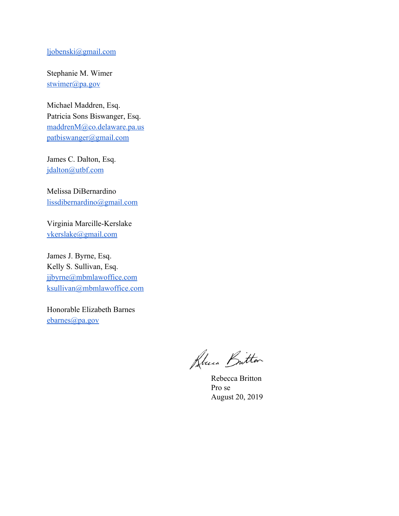# [ljobenski@gmail.com](mailto:ljobenski@gmail.com)

Stephanie M. Wimer [stwimer@pa.gov](mailto:stwimer@pa.gov)

Michael Maddren, Esq. Patricia Sons Biswanger, Esq. [maddrenM@co.delaware.pa.us](mailto:maddrenM@co.delaware.pa.us) [patbiswanger@gmail.com](mailto:patbiswanger@gmail.com)

James C. Dalton, Esq. [jdalton@utbf.com](mailto:jdalton@utbf.com)

Melissa DiBernardino [lissdibernardino@gmail.com](mailto:lissdibernardino@gmail.com)

Virginia Marcille-Kerslake [vkerslake@gmail.com](mailto:vkerslake@gmail.com)

James J. Byrne, Esq. Kelly S. Sullivan, Esq. [jjbyrne@mbmlawoffice.com](mailto:jjbyrne@mbmlawoffice.com) [ksullivan@mbmlawoffice.com](mailto:ksullivan@mbmlawoffice.com)

Honorable Elizabeth Barnes [ebarnes@pa.gov](mailto:ebarnes@pa.gov)

Rouen Butter

Rebecca Britton Pro se August 20, 2019